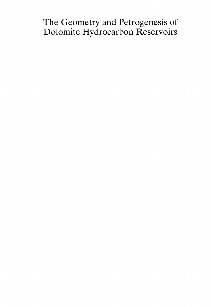# The Geometry and Petrogenesis of Dolomite Hydrocarbon Reservoirs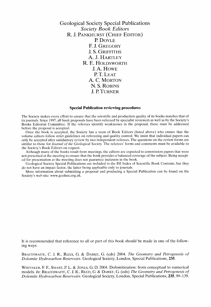**Geological Society Special Publications**  *Society Book Editors*  R. J. PANKHURST (CHIEF EDITOR) P. DOYLE F. J. GREGORY **J. S. GRIFFITHS** A. J. HARTLEY R. E. HOLDSWORTH J. A. HOWE P.T. LEAT A. C. MORTON **N. S.** ROBINS J. P. TURNER

### **Special Publication reviewing procedures**

The Society makes every effort to ensure that the scientific and production quality of its books matches that of its journals. Since 1997, all book proposals have been refereed by specialist reviewers as well as by the Society's Books Editorial Committee. If the referees identify weaknesses in the proposal, these must be addressed before the proposal is accepted.

Once the book is accepted, the Society has a team of Book Editors (listed above) who ensure that the volume editors follow strict guidelines on refereeing and quality control. We insist that individual papers can only be accepted after satisfactory review by two independent referees. The questions on the review forms are similar to those for *Journal of the Geological Society.* The referees' forms and comments must be available to the Society's Book Editors on request.

Although many of the books result from meetings, the editors are expected to commission papers that were not presented at the meeting to ensure that the book provides a balanced coverage of the subject. Being accepted for presentation at the meeting does not guarantee inclusion in the book.

Geological Society Special Publications are included in the ISI Index of Scientific Book Contents, but they do not have an impact factor, the latter being applicable only to journals.

More information about submitting a proposal and producing a Special Publication can be found on the Society's web site: www.geolsoc.org.uk.

It is recommended that reference to all or part of this book should be made in one of the following ways:

BRAITHWAITE, C. J. R., RIZZI, G. & DARKE, G. (eds) 2004. *The Geometry and Petrogenesis of Dolomite Hydrocarbon Reservoirs'.* Geological Society, London, Special Publications, 235.

WHITAKER, F. F., SMART, P. L. & JONES, G. D. 2004. Dolomitization: from conceptual to numerical models. *In:* BRAITHWAITE, C. J. R., RIZZI, G. & DARKE, G. (eds) *The Geometry and Petrogenesis of Dolomite Hydrocarbon Reservoirs'.* Geological Society, London, Special Publications, 235, 99-139.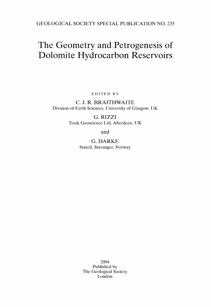# **The Geometry and Petrogenesis of Dolomite Hydrocarbon Reservoirs**

EDITED BY

C. J. R. BRAITHWAITE Division of Earth Sciences, University of Glasgow, UK

> G. RIZZI Trask Geoscience Ltd, Aberdeen, UK

> > and

G. DARKE Statoil, Stavanger, Norway

2004 Published by The Geological Society London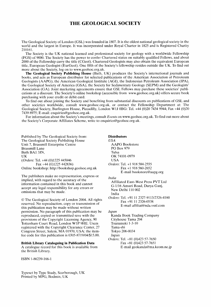## **THE GEOLOGICAL SOCIETY**

The Geological Society of London (GSL) was founded in 1807. It is the oldest national geological society in the world and the largest in Europe. It was incorporated under Royal Charter in 1825 and is Registered Charity 210161.

The Society is the UK national learned and professional society for geology with a worldwide Fellowship (FGS) of 9000. The Society has the power to confer Chartered status on suitably qualified Fellows, and about 2000 of the Fellowship carry the title (CGeol). Chartered Geologists may also obtain the equivalent European title, European Geologist (EurGeol). One fifth of the Society's fellowship resides outside the UK. To find out more about the Society, log on to www.geolsoc.org.uk.

**The Geological Society Publishing House** (Bath, UK) produces the Society's international journals and books, and acts as European distributor for selected publications of the American Association of Petroleum Geologists (AAPG), the American Geological Institute (AGI), the Indonesian Petroleum Association (IPA), the Geological Society of America (GSA), the Society for Sedimentary Geology (SEPM) and the Geologists' Association (GA). Joint marketing agreements ensure that GSL Fellows may purchase these societies' publications at a discount. The Society's online bookshop (accessible from www.geolsoc.org.uk) offers secure book purchasing with your credit or debit card.

To find out about joining the Society and benefiting from substantial discounts on publications of GSL and other societies worldwide, consult www.geolsoc.org.uk, or contact the Fellowship Department at: The Geological Society, Burlington House, Piccadilly, London WlJ 0BG: Tel. +44 (0)20 7434 9944; Fax +44 (0)20 7439 8975; E-mail: enquiries@geolsoc.org.uk.

For information about the Society's meetings, consult *Events* on www.geolsoc.org.uk. To find out more about the Society's Corporate Affiliates Scheme, write to enquiries@geolsoc.org.uk.

Published by The Geological Society from: The Geological Society Publishing House Unit 7, Brassmill Enterprise Centre Brassmill Lane Bath BA1 3JN, UK *(Orders:* Tel. +44 (0)1225 445046 Fax +44 (0)1225 442836) Online bookshop: http://bookshop.geolsoc.org.uk

The publishers make no representation, express or implied, with regard to the accuracy of the information contained in this book and cannot accept any legal responsibility for any errors or omissions that may be made.

9 The Geological Society of London 2004. All rights reserved. No reproduction, copy or transmission of this publication may be made without written permission. No paragraph of this publication may be reproduced, copied or transmitted save with the provisions of the Copyright Licensing Agency, 90 Tottenham Court Road, London W1P 9HE. Users registered with the Copyright Clearance Center, 27 Congress Street, Salem, MA 01970, USA: the itemfee code for this publication is 0305-8719/04/\$15.00.

#### **British Library Cataloguing in Publication Data**

A catalogue record for this book is available from the British Library.

ISBN 1-86239-166-1

Typeset by Type Study, Scarborough, UK Printed by MPG, Bodmin, UK

### **Distributors**

*USA*  AAPG Bookstore PO Box 979 Tulsa OK 74101-0979 USA *Orders:* Tel. +1 918 584-2555 Fax +1 918 560-2652 E-mail bookstore@aapg.org

#### *India*

Affiliated East-West Press PVT Ltd G-l/16 Ansari Road, Darya Ganj, New Delhi 110 002 India *Orders':* Tel. +91 11 2327-9113/2326-4180 Fax +91 11 2326-0538 E-mail affiliat@nda.vsnl.com

#### *Japan*

Kanda Book Trading Company Cityhouse Tama 204 Tsurumaki 1-3-10 Tama-shi Tokyo 206-0034 Japan *Orders:* Tel. +81 (0)423 57-7650 Fax +81 (0)423 57-7651 E-mail geokanda@ma.kcom.ne.jp